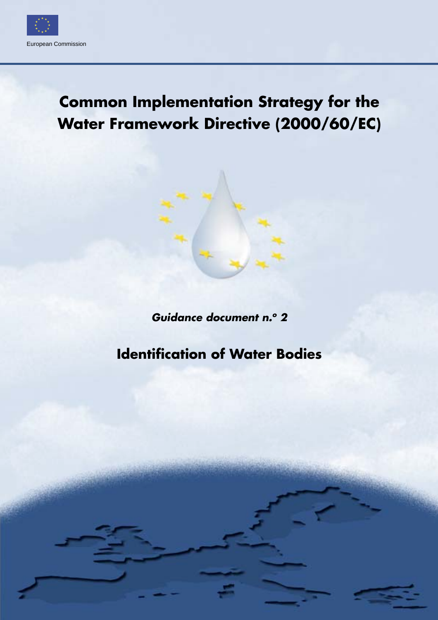

# **Common Implementation Strategy for the Water Framework Directive (2000/60/EC)**

*Guidance document n.o 2*

# **Identification of Water Bodies**

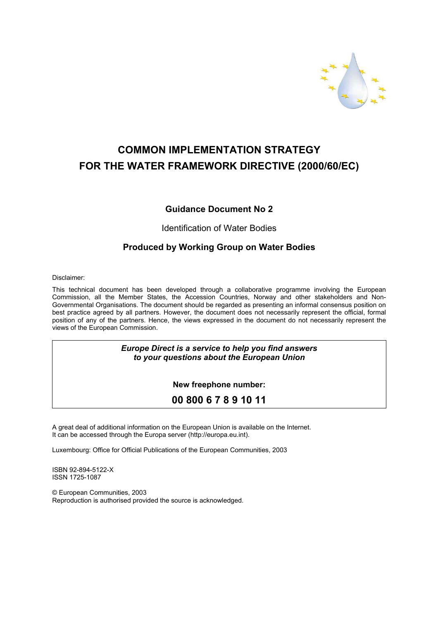

# **COMMON IMPLEMENTATION STRATEGY FOR THE WATER FRAMEWORK DIRECTIVE (2000/60/EC)**

### **Guidance Document No 2**

#### Identification of Water Bodies

### **Produced by Working Group on Water Bodies**

Disclaimer:

This technical document has been developed through a collaborative programme involving the European Commission, all the Member States, the Accession Countries, Norway and other stakeholders and Non-Governmental Organisations. The document should be regarded as presenting an informal consensus position on best practice agreed by all partners. However, the document does not necessarily represent the official, formal position of any of the partners. Hence, the views expressed in the document do not necessarily represent the views of the European Commission.

#### *Europe Direct is a service to help you find answers to your questions about the European Union*

**New freephone number:**

## **00 800 6 7 8 9 10 11**

A great deal of additional information on the European Union is available on the Internet. It can be accessed through the Europa server (http://europa.eu.int).

Luxembourg: Office for Official Publications of the European Communities, 2003

ISBN 92-894-5122-X ISSN 1725-1087

© European Communities, 2003 Reproduction is authorised provided the source is acknowledged.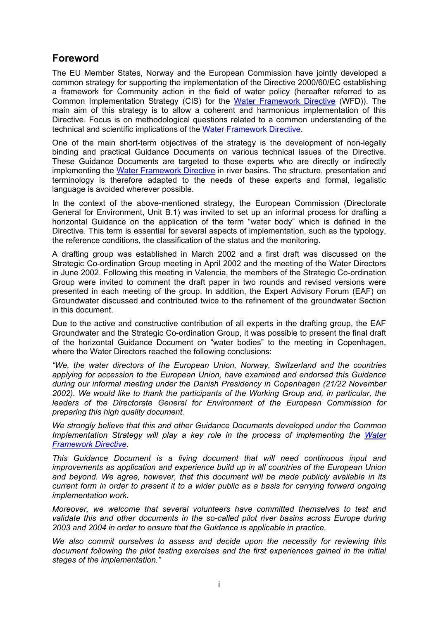# <span id="page-2-0"></span>**Foreword**

The EU Member States, Norway and the European Commission have jointly developed a common strategy for supporting the implementation of the Directive 2000/60/EC establishing a framework for Community action in the field of water policy (hereafter referred to as Common Implementation Strategy (CIS) for the [Water Framework Directive](legislation/WFD En.pdf) (WFD)). The main aim of this strategy is to allow a coherent and harmonious implementation of this Directive. Focus is on methodological questions related to a common understanding of the technical and scientific implications of the [Water Framework Directive](legislation/WFD En.pdf).

One of the main short-term objectives of the strategy is the development of non-legally binding and practical Guidance Documents on various technical issues of the Directive. These Guidance Documents are targeted to those experts who are directly or indirectly implementing the [Water Framework Directive](legislation/WFD En.pdf) in river basins. The structure, presentation and terminology is therefore adapted to the needs of these experts and formal, legalistic language is avoided wherever possible.

In the context of the above-mentioned strategy, the European Commission (Directorate General for Environment, Unit B.1) was invited to set up an informal process for drafting a horizontal Guidance on the application of the term "water body" which is defined in the Directive. This term is essential for several aspects of implementation, such as the typology, the reference conditions, the classification of the status and the monitoring.

A drafting group was established in March 2002 and a first draft was discussed on the Strategic Co-ordination Group meeting in April 2002 and the meeting of the Water Directors in June 2002. Following this meeting in Valencia, the members of the Strategic Co-ordination Group were invited to comment the draft paper in two rounds and revised versions were presented in each meeting of the group. In addition, the Expert Advisory Forum (EAF) on Groundwater discussed and contributed twice to the refinement of the groundwater Section in this document.

Due to the active and constructive contribution of all experts in the drafting group, the EAF Groundwater and the Strategic Co-ordination Group, it was possible to present the final draft of the horizontal Guidance Document on "water bodies" to the meeting in Copenhagen, where the Water Directors reached the following conclusions:

*"We, the water directors of the European Union, Norway, Switzerland and the countries applying for accession to the European Union, have examined and endorsed this Guidance during our informal meeting under the Danish Presidency in Copenhagen (21/22 November 2002). We would like to thank the participants of the Working Group and, in particular, the leaders of the Directorate General for Environment of the European Commission for preparing this high quality document.*

*We strongly believe that this and other Guidance Documents developed under the Common Implementation Strategy will play a key role in the process of implementing the [Water](legislation/WFD En.pdf)  [Framework Directive.](legislation/WFD En.pdf)* 

*This Guidance Document is a living document that will need continuous input and improvements as application and experience build up in all countries of the European Union and beyond. We agree, however, that this document will be made publicly available in its current form in order to present it to a wider public as a basis for carrying forward ongoing implementation work.* 

*Moreover, we welcome that several volunteers have committed themselves to test and validate this and other documents in the so-called pilot river basins across Europe during 2003 and 2004 in order to ensure that the Guidance is applicable in practice.* 

*We also commit ourselves to assess and decide upon the necessity for reviewing this document following the pilot testing exercises and the first experiences gained in the initial stages of the implementation."*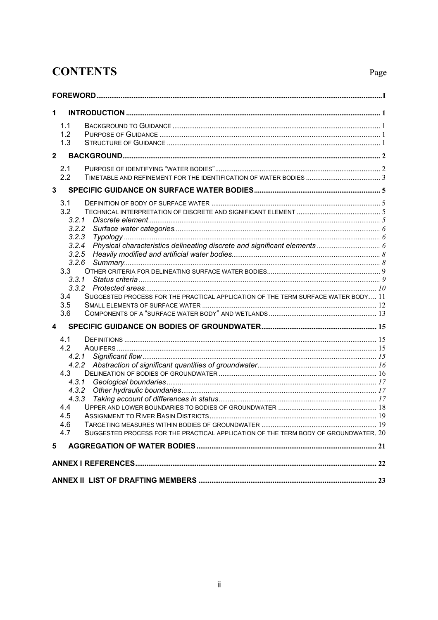# **CONTENTS**

# Page

| 1            |                                                                                                                                                                                     |  |  |  |  |
|--------------|-------------------------------------------------------------------------------------------------------------------------------------------------------------------------------------|--|--|--|--|
|              | 1.1<br>1.2<br>1.3                                                                                                                                                                   |  |  |  |  |
| $\mathbf{2}$ |                                                                                                                                                                                     |  |  |  |  |
|              | 2.1<br>2.2                                                                                                                                                                          |  |  |  |  |
| 3            |                                                                                                                                                                                     |  |  |  |  |
|              | 3.1<br>3.2<br>3.2.1<br>3.2.2<br>3.2.3<br>3.2.4<br>3.2.5<br>3.2.6<br>3.3<br>3.3.1<br>3.4<br>SUGGESTED PROCESS FOR THE PRACTICAL APPLICATION OF THE TERM SURFACE WATER BODY 11<br>3.5 |  |  |  |  |
|              | 3.6                                                                                                                                                                                 |  |  |  |  |
| 4<br>5       | 4.1<br>4.2<br>4.2.1<br>4.3<br>4.3.1<br>4.3.2<br>4.3.3<br>4.4<br>4.5<br>4.6<br>4.7<br>SUGGESTED PROCESS FOR THE PRACTICAL APPLICATION OF THE TERM BODY OF GROUNDWATER, 20            |  |  |  |  |
|              |                                                                                                                                                                                     |  |  |  |  |
|              |                                                                                                                                                                                     |  |  |  |  |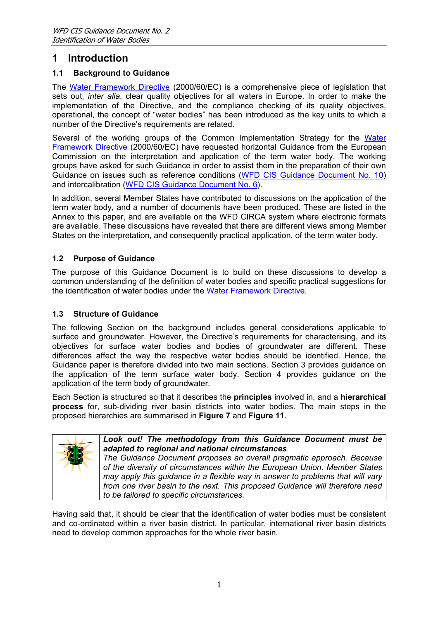# <span id="page-4-0"></span>**1 Introduction**

### **1.1 Background to Guidance**

The [Water Framework Directive](legislation/WFD En.pdf) (2000/60/EC) is a comprehensive piece of legislation that sets out, *inter alia*, clear quality objectives for all waters in Europe. In order to make the implementation of the Directive, and the compliance checking of its quality objectives, operational, the concept of "water bodies" has been introduced as the key units to which a number of the Directive's requirements are related.

Several of the working groups of the Common Implementation Strategy for the [Water](legislation/WFD En.pdf) [Framework Directive](legislation/WFD En.pdf) (2000/60/EC) have requested horizontal Guidance from the European Commission on the interpretation and application of the term water body. The working groups have asked for such Guidance in order to assist them in the preparation of their own Guidance on issues such as reference conditions [\(WFD CIS Guidance Document No. 10\)](Guidance doc 10 REFCOND.pdf) and intercalibration ([WFD CIS Guidance Document No. 6\)](Guidance doc 6 intercalibration.pdf).

In addition, several Member States have contributed to discussions on the application of the term water body, and a number of documents have been produced. These are listed in the Annex to this paper, and are available on the WFD CIRCA system where electronic formats are available. These discussions have revealed that there are different views among Member States on the interpretation, and consequently practical application, of the term water body.

### **1.2 Purpose of Guidance**

The purpose of this Guidance Document is to build on these discussions to develop a common understanding of the definition of water bodies and specific practical suggestions for the identification of water bodies under the [Water Framework Directive.](legislation/WFD En.pdf)

### **1.3 Structure of Guidance**

The following Section on the background includes general considerations applicable to surface and groundwater. However, the Directive's requirements for characterising, and its objectives for surface water bodies and bodies of groundwater are different. These differences affect the way the respective water bodies should be identified. Hence, the Guidance paper is therefore divided into two main sections. Section 3 provides guidance on the application of the term surface water body. Section 4 provides guidance on the application of the term body of groundwater.

Each Section is structured so that it describes the **principles** involved in, and a **hierarchical process** for, sub-dividing river basin districts into water bodies. The main steps in the proposed hierarchies are summarised in **[Figure 7](#page-14-1)** and **[Figure 11](#page-23-1)**.



*Look out! The methodology from this Guidance Document must be adapted to regional and national circumstances* 

*The Guidance Document proposes an overall pragmatic approach. Because of the diversity of circumstances within the European Union, Member States may apply this guidance in a flexible way in answer to problems that will vary from one river basin to the next. This proposed Guidance will therefore need to be tailored to specific circumstances.* 

Having said that, it should be clear that the identification of water bodies must be consistent and co-ordinated within a river basin district. In particular, international river basin districts need to develop common approaches for the whole river basin.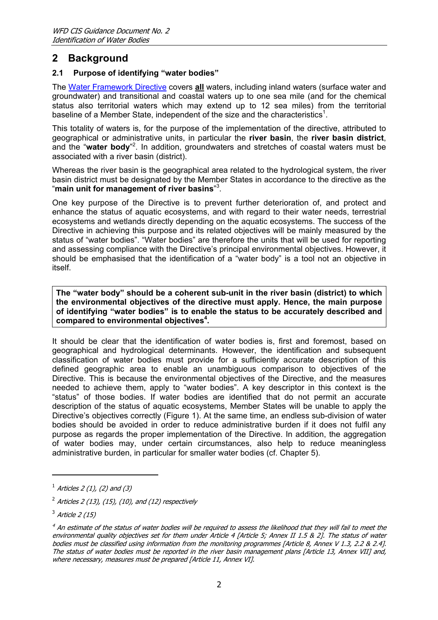# <span id="page-5-5"></span><span id="page-5-0"></span>**2 Background**

### **2.1 Purpose of identifying "water bodies"**

The [Water Framework Directive](legislation/WFD En.pdf) covers **all** waters, including inland waters (surface water and groundwater) and transitional and coastal waters up to one sea mile (and for the chemical status also territorial waters which may extend up to 12 sea miles) from the territorial baseline of a Member State, independent of the size and the characteristics<sup>[1](#page-5-1)</sup>.

This totality of waters is, for the purpose of the implementation of the directive, attributed to geographical or administrative units, in particular the **river basin**, the **river basin district**, and the "water body"<sup>[2](#page-5-2)</sup>. In addition, groundwaters and stretches of coastal waters must be associated with a river basin (district).

Whereas the river basin is the geographical area related to the hydrological system, the river basin district must be designated by the Member States in accordance to the directive as the "**main unit for management of river basins**" [3](#page-5-3) .

One key purpose of the Directive is to prevent further deterioration of, and protect and enhance the status of aquatic ecosystems, and with regard to their water needs, terrestrial ecosystems and wetlands directly depending on the aquatic ecosystems. The success of the Directive in achieving this purpose and its related objectives will be mainly measured by the status of "water bodies". "Water bodies" are therefore the units that will be used for reporting and assessing compliance with the Directive's principal environmental objectives. However, it should be emphasised that the identification of a "water body" is a tool not an objective in itself.

**The "water body" should be a coherent sub-unit in the river basin (district) to which the environmental objectives of the directive must apply. Hence, the main purpose of identifying "water bodies" is to enable the status to be accurately described and compared to environmental objective[s4](#page-5-4) .** 

It should be clear that the identification of water bodies is, first and foremost, based on geographical and hydrological determinants. However, the identification and subsequent classification of water bodies must provide for a sufficiently accurate description of this defined geographic area to enable an unambiguous comparison to objectives of the Directive. This is because the environmental objectives of the Directive, and the measures needed to achieve them, apply to "water bodies". A key descriptor in this context is the "status" of those bodies. If water bodies are identified that do not permit an accurate description of the status of aquatic ecosystems, Member States will be unable to apply the Directive's objectives correctly ([Figure 1\)](#page-6-1). At the same time, an endless sub-division of water bodies should be avoided in order to reduce administrative burden if it does not fulfil any purpose as regards the proper implementation of the Directive. In addition, the aggregation of water bodies may, under certain circumstances, also help to reduce meaningless administrative burden, in particular for smaller water bodies (cf. Chapter 5).

-

<span id="page-5-1"></span> $^1$  Articles 2 (1), (2) and (3)

<span id="page-5-2"></span> $^{2}$  Articles 2 (13), (15), (10), and (12) respectively

<span id="page-5-3"></span> $3$  Article 2 (15)

<span id="page-5-4"></span> $^4$  An estimate of the status of water bodies will be required to assess the likelihood that they will fail to meet the environmental quality objectives set for them under Article 4 [Article 5: Annex II 1.5 & 2]. The status of water bodies must be classified using information from the monitoring programmes [Article 8, Annex V 1.3, 2.2 & 2.4]. The status of water bodies must be reported in the river basin management plans [Article 13, Annex VII] and, where necessary, measures must be prepared [Article 11, Annex VI].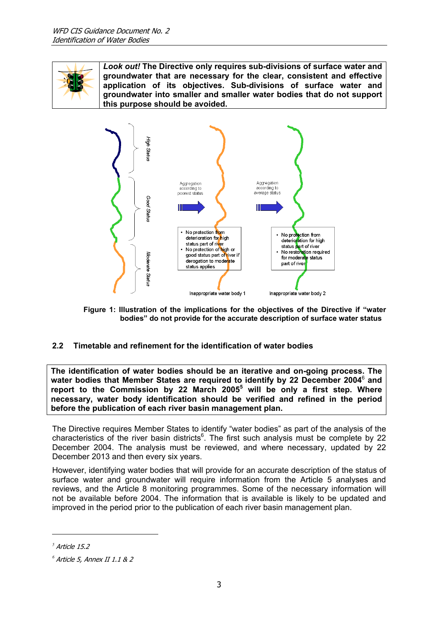<span id="page-6-0"></span>

*Look out!* **The Directive only requires sub-divisions of surface water and groundwater that are necessary for the clear, consistent and effective application of its objectives. Sub-divisions of surface water and groundwater into smaller and smaller water bodies that do not support this purpose should be avoided.**

<span id="page-6-1"></span>

**Figure 1: Illustration of the implications for the objectives of the Directive if "water bodies" do not provide for the accurate description of surface water status**

### **2.2 Timetable and refinement for the identification of water bodies**

**The identification of water bodies should be an iterative and on-going process. The water bodies that Member States are required to identify by 22 December 2004**[6](#page-6-2)  **and report to the Commission by 22 March 2005[5](#page-6-3) will be only a first step. Where necessary, water body identification should be verified and refined in the period before the publication of each river basin management plan.** 

<span id="page-6-2"></span>The Directive requires Member States to identify "water bodies" as part of the analysis of the characteristics of the river basin districts $6$ . The first such analysis must be complete by 22 December 2004. The analysis must be reviewed, and where necessary, updated by 22 December 2013 and then every six years.

However, identifying water bodies that will provide for an accurate description of the status of surface water and groundwater will require information from the Article 5 analyses and reviews, and the Article 8 monitoring programmes. Some of the necessary information will not be available before 2004. The information that is available is likely to be updated and improved in the period prior to the publication of each river basin management plan.

 $\overline{a}$ 

<span id="page-6-3"></span> $<sup>5</sup>$  Article 15.2</sup>

<span id="page-6-4"></span>*<sup>6</sup>* Article 5, Annex II 1.1 & 2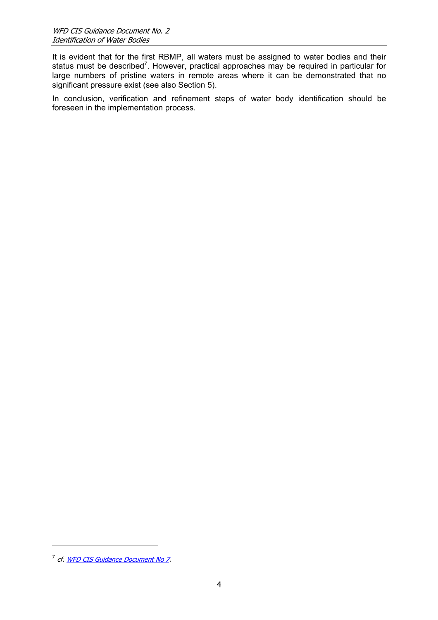It is evident that for the first RBMP, all waters must be assigned to water bodies and their status must be described<sup>[7](#page-7-0)</sup>. However, practical approaches may be required in particular for large numbers of pristine waters in remote areas where it can be demonstrated that no significant pressure exist (see also Section 5).

In conclusion, verification and refinement steps of water body identification should be foreseen in the implementation process.

<span id="page-7-0"></span><sup>&</sup>lt;sup>7</sup> cf. [WFD CIS Guidance Document No 7](Guidance doc 7 monitoring.pdf).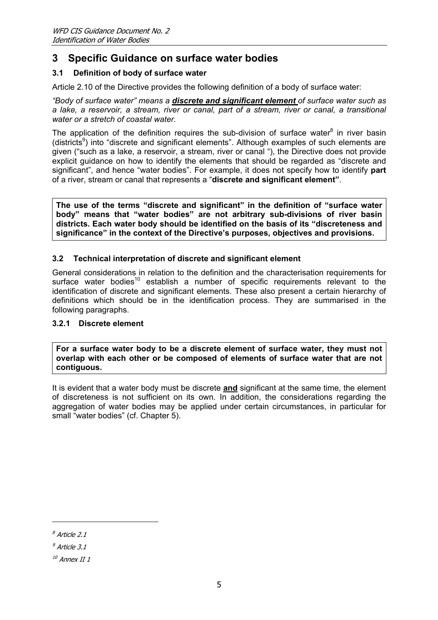# <span id="page-8-0"></span>**3 Specific Guidance on surface water bodies**

### **3.1 Definition of body of surface water**

Article 2.10 of the Directive provides the following definition of a body of surface water:

*"Body of surface water" means a discrete and significant element of surface water such as a lake, a reservoir, a stream, river or canal, part of a stream, river or canal, a transitional water or a stretch of coastal water.* 

The application of the definition requires the sub-division of surface water $8$  in river basin (districts<sup>[9](#page-8-2)</sup>) into "discrete and significant elements". Although examples of such elements are given ("such as a lake, a reservoir, a stream, river or canal "), the Directive does not provide explicit guidance on how to identify the elements that should be regarded as "discrete and significant", and hence "water bodies". For example, it does not specify how to identify **part** of a river, stream or canal that represents a "**discrete and significant element"**.

**The use of the terms "discrete and significant" in the definition of "surface water body" means that "water bodies" are not arbitrary sub-divisions of river basin districts. Each water body should be identified on the basis of its "discreteness and significance" in the context of the Directive's purposes, objectives and provisions.** 

#### **3.2 Technical interpretation of discrete and significant element**

General considerations in relation to the definition and the characterisation requirements for surface water bodies<sup>[10](#page-8-3)</sup> establish a number of specific requirements relevant to the identification of discrete and significant elements. These also present a certain hierarchy of definitions which should be in the identification process. They are summarised in the following paragraphs.

#### **3.2.1 Discrete element**

**For a surface water body to be a discrete element of surface water, they must not overlap with each other or be composed of elements of surface water that are not contiguous.** 

It is evident that a water body must be discrete **and** significant at the same time, the element of discreteness is not sufficient on its own. In addition, the considerations regarding the aggregation of water bodies may be applied under certain circumstances, in particular for small "water bodies" (cf. Chapter 5).

<span id="page-8-1"></span><sup>8</sup> Article 2.1

<span id="page-8-2"></span> $9$  Article 3.1

<span id="page-8-3"></span> $10$  Annex II 1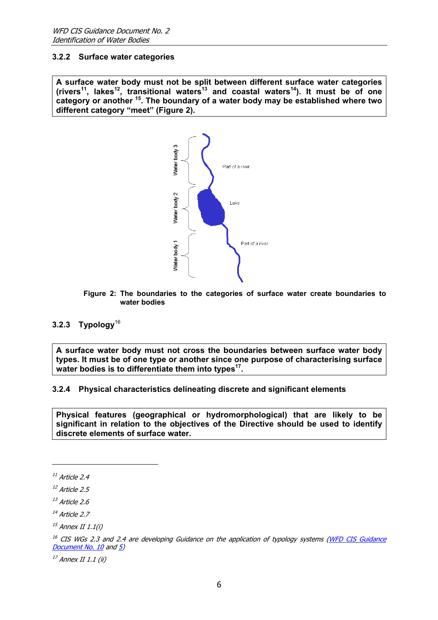#### <span id="page-9-0"></span>**3.2.2 Surface water categories**

<span id="page-9-1"></span>**A surface water body must not be split between different surface water categories (rivers[11,](#page-9-2) lake[s12,](#page-9-3) transitional water[s13](#page-9-4) and coastal water[s14](#page-9-5)). It must be of one category or another [15.](#page-9-6) The boundary of a water body may be established where two different category "meet" ([Figure 2\)](#page-9-1).**



**Figure 2: The boundaries to the categories of surface water create boundaries to water bodies**

### <span id="page-9-10"></span>**3.2.3 Typology**[16](#page-9-7)

**A surface water body must not cross the boundaries between surface water body types. It must be of one type or another since one purpose of characterising surface** water bodies is to differentiate them into types<sup>17</sup>.

#### <span id="page-9-11"></span>**3.2.4 Physical characteristics delineating discrete and significant elements**

<span id="page-9-9"></span>**Physical features (geographical or hydromorphological) that are likely to be significant in relation to the objectives of the Directive should be used to identify discrete elements of surface water.** 

j

<span id="page-9-8"></span> $17$  Annex II 1.1 (ii)

<span id="page-9-2"></span> $11$  Article 2.4

<span id="page-9-3"></span> $12$  Article 2.5

<span id="page-9-4"></span> $13$  Article 2.6

<span id="page-9-5"></span> $14$  Article 2.7

<span id="page-9-6"></span> $15$  Annex II 1.1(i)

<span id="page-9-7"></span><sup>&</sup>lt;sup>16</sup> CIS WGs 2.3 and 2.4 are developing Guidance on the application of typology systems ([WFD CIS Guidance](Guidance doc 10 REFCOND.pdf) [Document No. 10](Guidance doc 10 REFCOND.pdf) and [5](Guidance doc 5 COAST.pdf))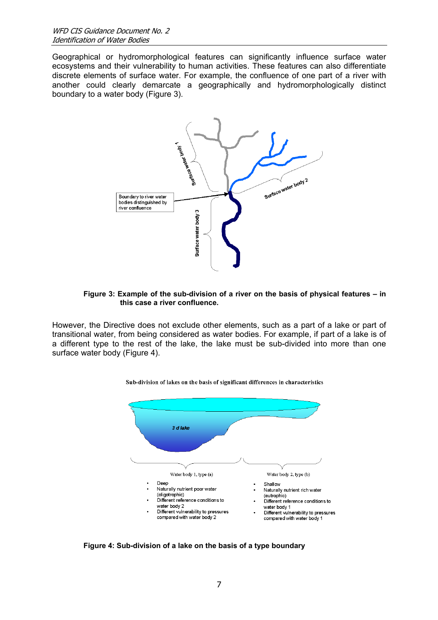Geographical or hydromorphological features can significantly influence surface water ecosystems and their vulnerability to human activities. These features can also differentiate discrete elements of surface water. For example, the confluence of one part of a river with another could clearly demarcate a geographically and hydromorphologically distinct boundary to a water body ([Figure 3\)](#page-10-0).

<span id="page-10-0"></span>

#### **Figure 3: Example of the sub-division of a river on the basis of physical features – in this case a river confluence.**

However, the Directive does not exclude other elements, such as a part of a lake or part of transitional water, from being considered as water bodies. For example, if part of a lake is of a different type to the rest of the lake, the lake must be sub-divided into more than one surface water body [\(Figure 4\)](#page-10-1).

<span id="page-10-1"></span>



**Figure 4: Sub-division of a lake on the basis of a type boundary**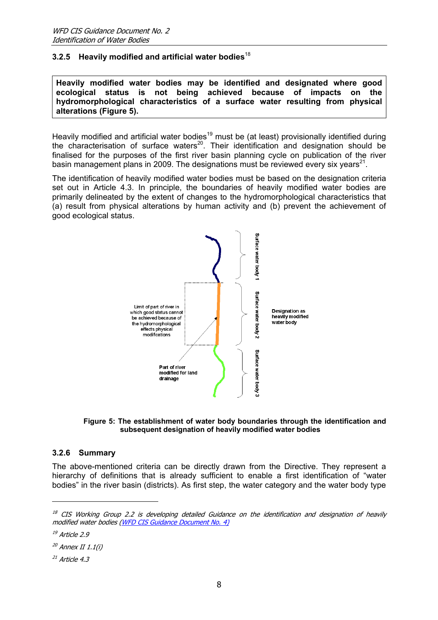### <span id="page-11-6"></span><span id="page-11-0"></span>**3.2.5 Heavily modified and artificial water bodies**[18](#page-11-2)

**Heavily modified water bodies may be identified and designated where good ecological status is not being achieved because of impacts on the hydromorphological characteristics of a surface water resulting from physical alterations ([Figure 5\)](#page-11-1).** 

Heavily modified and artificial water bodies<sup>19</sup> must be (at least) provisionally identified during the characterisation of surface waters<sup>20</sup>. Their identification and designation should be finalised for the purposes of the first river basin planning cycle on publication of the river basin management plans in 2009. The designations must be reviewed every six years<sup>21</sup>.

The identification of heavily modified water bodies must be based on the designation criteria set out in Article 4.3. In principle, the boundaries of heavily modified water bodies are primarily delineated by the extent of changes to the hydromorphological characteristics that (a) result from physical alterations by human activity and (b) prevent the achievement of good ecological status.

<span id="page-11-1"></span>

**Figure 5: The establishment of water body boundaries through the identification and subsequent designation of heavily modified water bodies** 

#### **3.2.6 Summary**

The above-mentioned criteria can be directly drawn from the Directive. They represent a hierarchy of definitions that is already sufficient to enable a first identification of "water bodies" in the river basin (districts). As first step, the water category and the water body type

<span id="page-11-2"></span> $18$  CIS Working Group 2.2 is developing detailed Guidance on the identification and designation of heavily modified water bodies ([WFD CIS Guidance Document No. 4\)](Guidance doc 4  HMWB.pdf)

<span id="page-11-3"></span> $19$  Article 2.9

<span id="page-11-4"></span> $^{20}$  Annex II 1.1(i)

<span id="page-11-5"></span> $21$  Article 4.3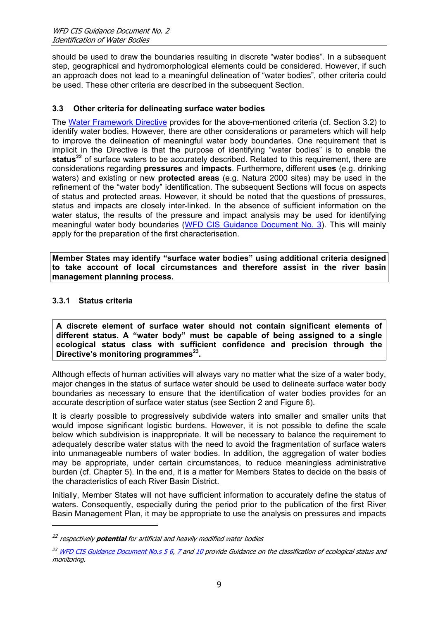<span id="page-12-0"></span>should be used to draw the boundaries resulting in discrete "water bodies". In a subsequent step, geographical and hydromorphological elements could be considered. However, if such an approach does not lead to a meaningful delineation of "water bodies", other criteria could be used. These other criteria are described in the subsequent Section.

### **3.3 Other criteria for delineating surface water bodies**

The [Water Framework Directive](legislation/WFD En.pdf) provides for the above-mentioned criteria (cf. Section 3.2) to identify water bodies. However, there are other considerations or parameters which will help to improve the delineation of meaningful water body boundaries. One requirement that is implicit in the Directive is that the purpose of identifying "water bodies" is to enable the **status[22](#page-12-1)** of surface waters to be accurately described. Related to this requirement, there are considerations regarding **pressures** and **impacts**. Furthermore, different **uses** (e.g. drinking waters) and existing or new **protected areas** (e.g. Natura 2000 sites) may be used in the refinement of the "water body" identification. The subsequent Sections will focus on aspects of status and protected areas. However, it should be noted that the questions of pressures, status and impacts are closely inter-linked. In the absence of sufficient information on the water status, the results of the pressure and impact analysis may be used for identifying meaningful water body boundaries [\(WFD CIS Guidance Document No. 3\)](Guidance doc 3 IMPRESS.pdf). This will mainly apply for the preparation of the first characterisation.

**Member States may identify "surface water bodies" using additional criteria designed to take account of local circumstances and therefore assist in the river basin management planning process.** 

### **3.3.1 Status criteria**

j

**A discrete element of surface water should not contain significant elements of different status. A "water body" must be capable of being assigned to a single ecological status class with sufficient confidence and precision through the Directive's monitoring programmes<sup>23</sup>.** 

Although effects of human activities will always vary no matter what the size of a water body, major changes in the status of surface water should be used to delineate surface water body boundaries as necessary to ensure that the identification of water bodies provides for an accurate description of surface water status (see Section [2](#page-5-5) and [Figure 6\)](#page-13-1).

It is clearly possible to progressively subdivide waters into smaller and smaller units that would impose significant logistic burdens. However, it is not possible to define the scale below which subdivision is inappropriate. It will be necessary to balance the requirement to adequately describe water status with the need to avoid the fragmentation of surface waters into unmanageable numbers of water bodies. In addition, the aggregation of water bodies may be appropriate, under certain circumstances, to reduce meaningless administrative burden (cf. Chapter 5). In the end, it is a matter for Members States to decide on the basis of the characteristics of each River Basin District.

Initially, Member States will not have sufficient information to accurately define the status of waters. Consequently, especially during the period prior to the publication of the first River Basin Management Plan, it may be appropriate to use the analysis on pressures and impacts

<span id="page-12-1"></span><sup>22</sup> respectively **potential** for artificial and heavily modified water bodies

<span id="page-12-2"></span> $^{23}$  [WFD CIS Guidance Document No.s 5](Guidance doc 5 COAST.pdf) [6](Guidance doc 6 intercalibration.pdf), [7](Guidance doc 7 monitoring.pdf) and [10](Guidance doc 10 REFCOND.pdf) provide Guidance on the classification of ecological status and monitoring.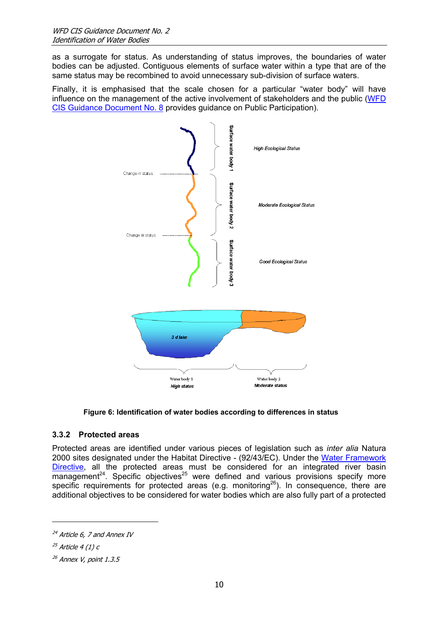<span id="page-13-0"></span>as a surrogate for status. As understanding of status improves, the boundaries of water bodies can be adjusted. Contiguous elements of surface water within a type that are of the same status may be recombined to avoid unnecessary sub-division of surface waters.

Finally, it is emphasised that the scale chosen for a particular "water body" will have influence on the management of the active involvement of stakeholders and the public [\(WFD](Guidance doc 8 Public participation.pdf)  [CIS Guidance Document No. 8](Guidance doc 8 Public participation.pdf) provides guidance on Public Participation).



<span id="page-13-1"></span>

### **3.3.2 Protected areas**

Protected areas are identified under various pieces of legislation such as *inter alia* Natura 2000 sites designated under the Habitat Directive - (92/43/EC). Under the [Water Framework](legislation/WFD En.pdf) [Directive,](legislation/WFD En.pdf) all the protected areas must be considered for an integrated river basin management<sup>24</sup>. Specific objectives<sup>25</sup> were defined and various provisions specify more specific requirements for protected areas (e.g. monitoring<sup>26</sup>). In consequence, there are additional objectives to be considered for water bodies which are also fully part of a protected

<span id="page-13-2"></span> $^{24}$  Article 6, 7 and Annex IV

<span id="page-13-3"></span> $25$  Article 4 (1) c

<span id="page-13-4"></span> $26$  Annex V, point 1.3.5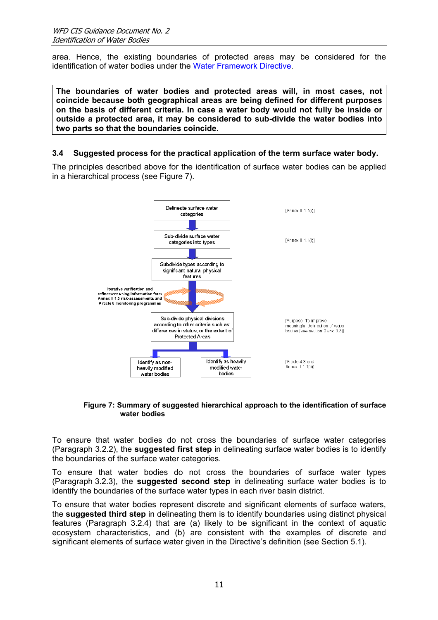<span id="page-14-0"></span>area. Hence, the existing boundaries of protected areas may be considered for the identification of water bodies under the [Water Framework Directive.](legislation/WFD En.pdf)

**The boundaries of water bodies and protected areas will, in most cases, not coincide because both geographical areas are being defined for different purposes on the basis of different criteria. In case a water body would not fully be inside or outside a protected area, it may be considered to sub-divide the water bodies into two parts so that the boundaries coincide.** 

#### **3.4 Suggested process for the practical application of the term surface water body.**

The principles described above for the identification of surface water bodies can be applied in a hierarchical process (see [Figure 7\)](#page-14-1).

<span id="page-14-1"></span>

#### **Figure 7: Summary of suggested hierarchical approach to the identification of surface water bodies**

To ensure that water bodies do not cross the boundaries of surface water categories (Paragraph [3.2.2\)](#page-9-9), the **suggested first step** in delineating surface water bodies is to identify the boundaries of the surface water categories.

To ensure that water bodies do not cross the boundaries of surface water types (Paragraph [3.2.3\)](#page-9-10), the **suggested second step** in delineating surface water bodies is to identify the boundaries of the surface water types in each river basin district.

To ensure that water bodies represent discrete and significant elements of surface waters, the **suggested third step** in delineating them is to identify boundaries using distinct physical features (Paragraph [3.2.4\)](#page-9-11) that are (a) likely to be significant in the context of aquatic ecosystem characteristics, and (b) are consistent with the examples of discrete and significant elements of surface water given in the Directive's definition (see Section 5.1).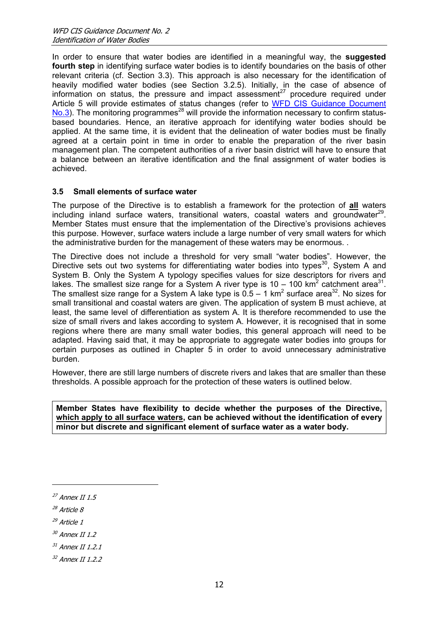<span id="page-15-0"></span>In order to ensure that water bodies are identified in a meaningful way, the **suggested fourth step** in identifying surface water bodies is to identify boundaries on the basis of other relevant criteria (cf. Section 3.3). This approach is also necessary for the identification of heavily modified water bodies (see Section [3.2.5\)](#page-11-6). Initially, in the case of absence of information on status, the pressure and impact assessment<sup>27</sup> procedure required under Article 5 will provide estimates of status changes (refer to WFD CIS Guidance Document  $No.3$ ). The monitoring programmes<sup>28</sup> will provide the information necessary to confirm statusbased boundaries. Hence, an iterative approach for identifying water bodies should be applied. At the same time, it is evident that the delineation of water bodies must be finally agreed at a certain point in time in order to enable the preparation of the river basin management plan. The competent authorities of a river basin district will have to ensure that a balance between an iterative identification and the final assignment of water bodies is achieved.

#### **3.5 Small elements of surface water**

The purpose of the Directive is to establish a framework for the protection of **all** waters including inland surface waters, transitional waters, coastal waters and groundwater<sup>29</sup>. Member States must ensure that the implementation of the Directive's provisions achieves this purpose. However, surface waters include a large number of very small waters for which the administrative burden for the management of these waters may be enormous. .

The Directive does not include a threshold for very small "water bodies". However, the Directive sets out two systems for differentiating water bodies into types<sup>30</sup>, System A and System B. Only the System A typology specifies values for size descriptors for rivers and lakes. The smallest size range for a System A river type is 10 – 100 km<sup>2</sup> catchment area<sup>31</sup>. The smallest size range for a System A lake type is  $0.5 - 1$  km<sup>2</sup> surface area<sup>32</sup>. No sizes for small transitional and coastal waters are given. The application of system B must achieve, at least, the same level of differentiation as system A. It is therefore recommended to use the size of small rivers and lakes according to system A. However, it is recognised that in some regions where there are many small water bodies, this general approach will need to be adapted. Having said that, it may be appropriate to aggregate water bodies into groups for certain purposes as outlined in Chapter 5 in order to avoid unnecessary administrative burden.

However, there are still large numbers of discrete rivers and lakes that are smaller than these thresholds. A possible approach for the protection of these waters is outlined below.

**Member States have flexibility to decide whether the purposes of the Directive, which apply to all surface waters, can be achieved without the identification of every minor but discrete and significant element of surface water as a water body.**

- <span id="page-15-3"></span> $29$  Article 1
- <span id="page-15-4"></span><sup>30</sup> Annex II 1.2
- <span id="page-15-5"></span> $31$  Annex II 1.2.1
- <span id="page-15-6"></span><sup>32</sup> Annex II 1.2.2

<span id="page-15-1"></span> $27$  Annex II 1.5

<span id="page-15-2"></span><sup>28</sup> Article 8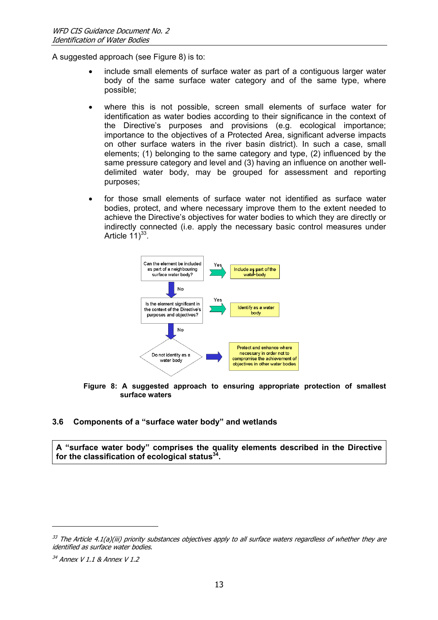<span id="page-16-0"></span>A suggested approach (see [Figure 8\)](#page-16-1) is to:

- include small elements of surface water as part of a contiguous larger water body of the same surface water category and of the same type, where possible;
- where this is not possible, screen small elements of surface water for identification as water bodies according to their significance in the context of the Directive's purposes and provisions (e.g. ecological importance; importance to the objectives of a Protected Area, significant adverse impacts on other surface waters in the river basin district). In such a case, small elements; (1) belonging to the same category and type, (2) influenced by the same pressure category and level and (3) having an influence on another welldelimited water body, may be grouped for assessment and reporting purposes;
- for those small elements of surface water not identified as surface water bodies, protect, and where necessary improve them to the extent needed to achieve the Directive's objectives for water bodies to which they are directly or indirectly connected (i.e. apply the necessary basic control measures under Article  $11)^{33}$ .

<span id="page-16-1"></span>

#### **Figure 8: A suggested approach to ensuring appropriate protection of smallest surface waters**

### **3.6 Components of a "surface water body" and wetlands**

**A "surface water body" comprises the quality elements described in the Directive for the classification of ecological status[34.](#page-16-3)** 

<span id="page-16-2"></span> $33$  The Article 4.1(a)(iii) priority substances objectives apply to all surface waters regardless of whether they are identified as surface water bodies.

<span id="page-16-3"></span><sup>34</sup> Annex V 1.1 & Annex V 1.2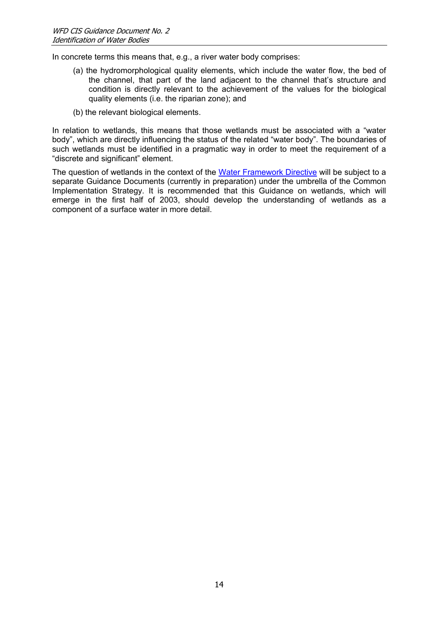In concrete terms this means that, e.g., a river water body comprises:

- (a) the hydromorphological quality elements, which include the water flow, the bed of the channel, that part of the land adjacent to the channel that's structure and condition is directly relevant to the achievement of the values for the biological quality elements (i.e. the riparian zone); and
- (b) the relevant biological elements.

In relation to wetlands, this means that those wetlands must be associated with a "water body", which are directly influencing the status of the related "water body". The boundaries of such wetlands must be identified in a pragmatic way in order to meet the requirement of a "discrete and significant" element.

The question of wetlands in the context of the [Water Framework Directive](legislation/WFD En.pdf) will be subject to a separate Guidance Documents (currently in preparation) under the umbrella of the Common Implementation Strategy. It is recommended that this Guidance on wetlands, which will emerge in the first half of 2003, should develop the understanding of wetlands as a component of a surface water in more detail.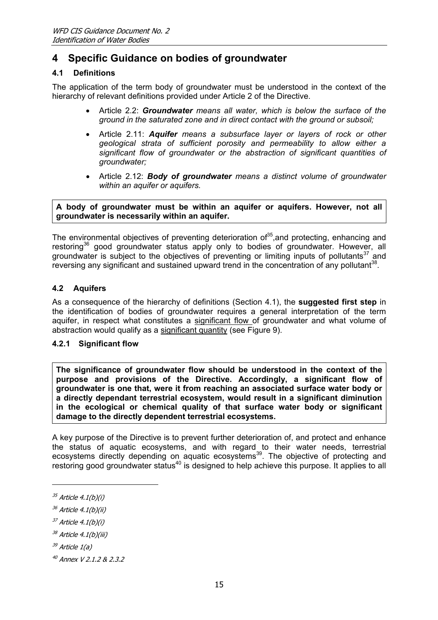# <span id="page-18-0"></span>**4 Specific Guidance on bodies of groundwater**

### <span id="page-18-1"></span>**4.1 Definitions**

The application of the term body of groundwater must be understood in the context of the hierarchy of relevant definitions provided under Article 2 of the Directive.

- Article 2.2: *Groundwater means all water, which is below the surface of the ground in the saturated zone and in direct contact with the ground or subsoil;*
- Article 2.11: *Aquifer means a subsurface layer or layers of rock or other geological strata of sufficient porosity and permeability to allow either a significant flow of groundwater or the abstraction of significant quantities of groundwater;*
- Article 2.12: *Body of groundwater means a distinct volume of groundwater within an aquifer or aquifers.*

**A body of groundwater must be within an aquifer or aquifers. However, not all groundwater is necessarily within an aquifer.** 

The environmental objectives of preventing deterioration of  $35$ , and protecting, enhancing and restoring<sup>36</sup> good groundwater status apply only to bodies of groundwater. However, all groundwater is subject to the objectives of preventing or limiting inputs of pollutants<sup>37</sup> and reversing any significant and sustained upward trend in the concentration of any pollutant<sup>38</sup>.

#### **4.2 Aquifers**

As a consequence of the hierarchy of definitions (Section [4.1\)](#page-18-1), the **suggested first step** in the identification of bodies of groundwater requires a general interpretation of the term aquifer, in respect what constitutes a significant flow of groundwater and what volume of abstraction would qualify as a significant quantity (see Figure 9).

#### <span id="page-18-8"></span>**4.2.1 Significant flow**

**The significance of groundwater flow should be understood in the context of the purpose and provisions of the Directive. Accordingly, a significant flow of groundwater is one that, were it from reaching an associated surface water body or a directly dependant terrestrial ecosystem, would result in a significant diminution in the ecological or chemical quality of that surface water body or significant damage to the directly dependent terrestrial ecosystems.** 

A key purpose of the Directive is to prevent further deterioration of, and protect and enhance the status of aquatic ecosystems, and with regard to their water needs, terrestrial ecosystems directly depending on aquatic ecosystems<sup>39</sup>. The objective of protecting and restoring good groundwater status<sup>40</sup> is designed to help achieve this purpose. It applies to all

j

<span id="page-18-4"></span> $37$  Article 4.1(b)(i)

<span id="page-18-2"></span> $35$  Article 4.1(b)(i)

<span id="page-18-3"></span> $36$  Article 4.1(b)(ii)

<span id="page-18-5"></span> $38$  Article 4.1(b)(iii)

<span id="page-18-6"></span> $39$  Article  $1(a)$ 

<span id="page-18-7"></span><sup>40</sup> Annex V 2.1.2 & 2.3.2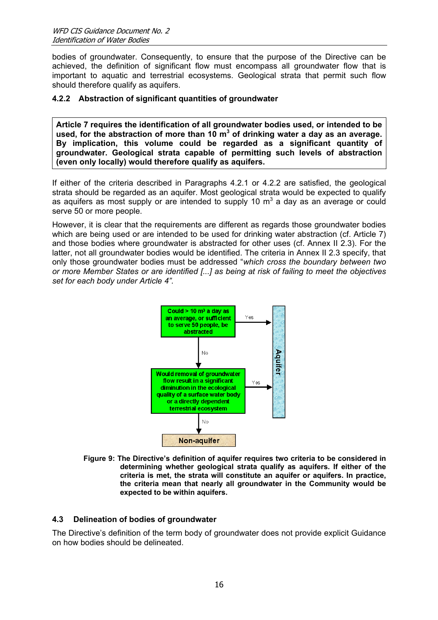<span id="page-19-0"></span>bodies of groundwater. Consequently, to ensure that the purpose of the Directive can be achieved, the definition of significant flow must encompass all groundwater flow that is important to aquatic and terrestrial ecosystems. Geological strata that permit such flow should therefore qualify as aquifers.

#### <span id="page-19-1"></span>**4.2.2 Abstraction of significant quantities of groundwater**

**Article 7 requires the identification of all groundwater bodies used, or intended to be used, for the abstraction of more than 10 m<sup>3</sup> of drinking water a day as an average. By implication, this volume could be regarded as a significant quantity of groundwater. Geological strata capable of permitting such levels of abstraction (even only locally) would therefore qualify as aquifers.** 

If either of the criteria described in Paragraphs [4.2.1](#page-18-8) or [4.2.2](#page-19-1) are satisfied, the geological strata should be regarded as an aquifer. Most geological strata would be expected to qualify as aquifers as most supply or are intended to supply 10  $\text{m}^3$  a day as an average or could serve 50 or more people.

However, it is clear that the requirements are different as regards those groundwater bodies which are being used or are intended to be used for drinking water abstraction (cf. Article 7) and those bodies where groundwater is abstracted for other uses (cf. Annex II 2.3). For the latter, not all groundwater bodies would be identified. The criteria in Annex II 2.3 specify, that only those groundwater bodies must be addressed "*which cross the boundary between two or more Member States or are identified [...] as being at risk of failing to meet the objectives set for each body under Article 4".*



**Figure 9: The Directive's definition of aquifer requires two criteria to be considered in determining whether geological strata qualify as aquifers. If either of the criteria is met, the strata will constitute an aquifer or aquifers. In practice, the criteria mean that nearly all groundwater in the Community would be expected to be within aquifers.** 

### **4.3 Delineation of bodies of groundwater**

The Directive's definition of the term body of groundwater does not provide explicit Guidance on how bodies should be delineated.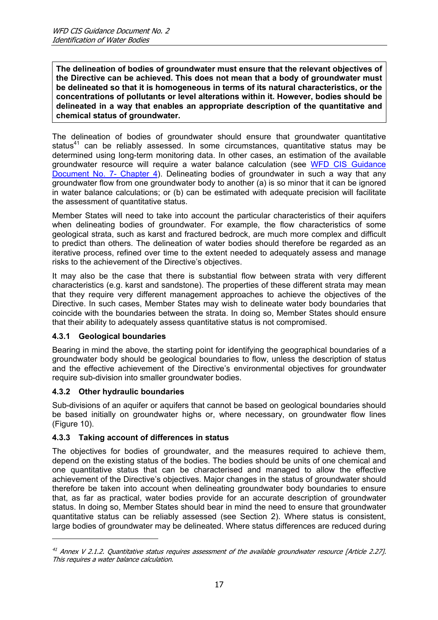<span id="page-20-0"></span>**The delineation of bodies of groundwater must ensure that the relevant objectives of the Directive can be achieved. This does not mean that a body of groundwater must be delineated so that it is homogeneous in terms of its natural characteristics, or the concentrations of pollutants or level alterations within it. However, bodies should be delineated in a way that enables an appropriate description of the quantitative and chemical status of groundwater.** 

The delineation of bodies of groundwater should ensure that groundwater quantitative status<sup>41</sup> can be reliably assessed. In some circumstances, quantitative status may be determined using long-term monitoring data. In other cases, an estimation of the available groundwater resource will require a water balance calculation (see [WFD CIS Guidance](Guidance doc 7 monitoring.pdf) [Document No. 7- Chapter 4](Guidance doc 7 monitoring.pdf)). Delineating bodies of groundwater in such a way that any groundwater flow from one groundwater body to another (a) is so minor that it can be ignored in water balance calculations; or (b) can be estimated with adequate precision will facilitate the assessment of quantitative status.

Member States will need to take into account the particular characteristics of their aquifers when delineating bodies of groundwater. For example, the flow characteristics of some geological strata, such as karst and fractured bedrock, are much more complex and difficult to predict than others. The delineation of water bodies should therefore be regarded as an iterative process, refined over time to the extent needed to adequately assess and manage risks to the achievement of the Directive's objectives.

It may also be the case that there is substantial flow between strata with very different characteristics (e.g. karst and sandstone). The properties of these different strata may mean that they require very different management approaches to achieve the objectives of the Directive. In such cases, Member States may wish to delineate water body boundaries that coincide with the boundaries between the strata. In doing so, Member States should ensure that their ability to adequately assess quantitative status is not compromised.

### **4.3.1 Geological boundaries**

Bearing in mind the above, the starting point for identifying the geographical boundaries of a groundwater body should be geological boundaries to flow, unless the description of status and the effective achievement of the Directive's environmental objectives for groundwater require sub-division into smaller groundwater bodies.

### **4.3.2 Other hydraulic boundaries**

j

Sub-divisions of an aquifer or aquifers that cannot be based on geological boundaries should be based initially on groundwater highs or, where necessary, on groundwater flow lines [\(Figure 10\)](#page-21-1).

### **4.3.3 Taking account of differences in status**

The objectives for bodies of groundwater, and the measures required to achieve them, depend on the existing status of the bodies. The bodies should be units of one chemical and one quantitative status that can be characterised and managed to allow the effective achievement of the Directive's objectives. Major changes in the status of groundwater should therefore be taken into account when delineating groundwater body boundaries to ensure that, as far as practical, water bodies provide for an accurate description of groundwater status. In doing so, Member States should bear in mind the need to ensure that groundwater quantitative status can be reliably assessed (see Section [2\)](#page-5-5). Where status is consistent, large bodies of groundwater may be delineated. Where status differences are reduced during

<span id="page-20-1"></span> $41$  Annex V 2.1.2. Quantitative status requires assessment of the available groundwater resource [Article 2.27]. This requires a water balance calculation.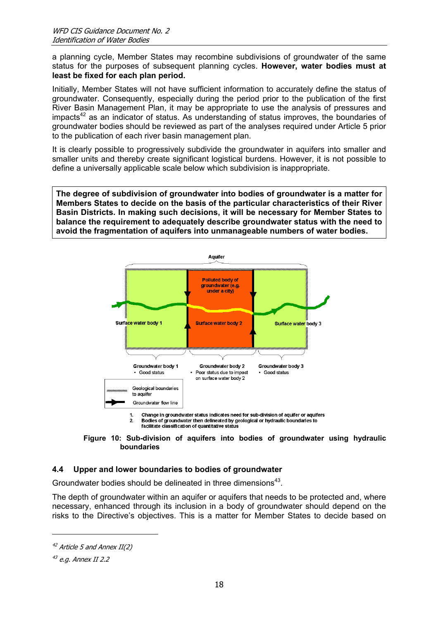<span id="page-21-0"></span>a planning cycle, Member States may recombine subdivisions of groundwater of the same status for the purposes of subsequent planning cycles. **However, water bodies must at least be fixed for each plan period.**

Initially, Member States will not have sufficient information to accurately define the status of groundwater. Consequently, especially during the period prior to the publication of the first River Basin Management Plan, it may be appropriate to use the analysis of pressures and  $impacts<sup>42</sup>$  as an indicator of status. As understanding of status improves, the boundaries of groundwater bodies should be reviewed as part of the analyses required under Article 5 prior to the publication of each river basin management plan.

It is clearly possible to progressively subdivide the groundwater in aquifers into smaller and smaller units and thereby create significant logistical burdens. However, it is not possible to define a universally applicable scale below which subdivision is inappropriate.

**The degree of subdivision of groundwater into bodies of groundwater is a matter for Members States to decide on the basis of the particular characteristics of their River Basin Districts. In making such decisions, it will be necessary for Member States to balance the requirement to adequately describe groundwater status with the need to avoid the fragmentation of aquifers into unmanageable numbers of water bodies.** 

<span id="page-21-1"></span>

 $\overline{2}$ Bodies of groundwater then delineated by geological or hydraulic boundaries to facilitate classification of quantitative status



### **4.4 Upper and lower boundaries to bodies of groundwater**

Groundwater bodies should be delineated in three dimensions<sup>43</sup>.

The depth of groundwater within an aquifer or aquifers that needs to be protected and, where necessary, enhanced through its inclusion in a body of groundwater should depend on the risks to the Directive's objectives. This is a matter for Member States to decide based on

<span id="page-21-2"></span> $42$  Article 5 and Annex II(2)

<span id="page-21-3"></span> $43$  e.g. Annex II 2.2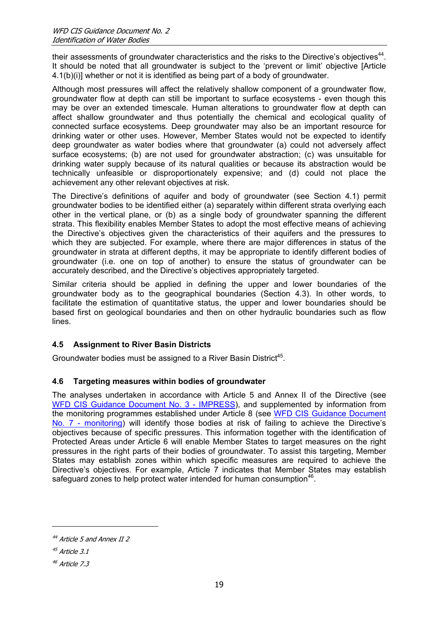<span id="page-22-0"></span>their assessments of groundwater characteristics and the risks to the Directive's objectives<sup>44</sup>. It should be noted that all groundwater is subject to the 'prevent or limit' objective [Article 4.1(b)(i)] whether or not it is identified as being part of a body of groundwater.

Although most pressures will affect the relatively shallow component of a groundwater flow, groundwater flow at depth can still be important to surface ecosystems - even though this may be over an extended timescale. Human alterations to groundwater flow at depth can affect shallow groundwater and thus potentially the chemical and ecological quality of connected surface ecosystems. Deep groundwater may also be an important resource for drinking water or other uses. However, Member States would not be expected to identify deep groundwater as water bodies where that groundwater (a) could not adversely affect surface ecosystems; (b) are not used for groundwater abstraction; (c) was unsuitable for drinking water supply because of its natural qualities or because its abstraction would be technically unfeasible or disproportionately expensive; and (d) could not place the achievement any other relevant objectives at risk.

The Directive's definitions of aquifer and body of groundwater (see Section [4.1\)](#page-18-1) permit groundwater bodies to be identified either (a) separately within different strata overlying each other in the vertical plane, or (b) as a single body of groundwater spanning the different strata. This flexibility enables Member States to adopt the most effective means of achieving the Directive's objectives given the characteristics of their aquifers and the pressures to which they are subjected. For example, where there are major differences in status of the groundwater in strata at different depths, it may be appropriate to identify different bodies of groundwater (i.e. one on top of another) to ensure the status of groundwater can be accurately described, and the Directive's objectives appropriately targeted.

Similar criteria should be applied in defining the upper and lower boundaries of the groundwater body as to the geographical boundaries (Section 4.3). In other words, to facilitate the estimation of quantitative status, the upper and lower boundaries should be based first on geological boundaries and then on other hydraulic boundaries such as flow lines.

### **4.5 Assignment to River Basin Districts**

Groundwater bodies must be assigned to a River Basin District<sup>45</sup>.

### **4.6 Targeting measures within bodies of groundwater**

The analyses undertaken in accordance with Article 5 and Annex II of the Directive (see [WFD CIS Guidance Document No. 3 - IMPRESS\)](Guidance doc 3 IMPRESS.pdf), and supplemented by information from the monitoring programmes established under Article 8 (see [WFD CIS Guidance Document](Guidance doc 7 monitoring.pdf)  [No. 7 - monitoring](Guidance doc 7 monitoring.pdf)) will identify those bodies at risk of failing to achieve the Directive's objectives because of specific pressures. This information together with the identification of Protected Areas under Article 6 will enable Member States to target measures on the right pressures in the right parts of their bodies of groundwater. To assist this targeting, Member States may establish zones within which specific measures are required to achieve the Directive's objectives. For example, Article 7 indicates that Member States may establish safeguard zones to help protect water intended for human consumption<sup>46</sup>.

<span id="page-22-1"></span> $44$  Article 5 and Annex II 2

<span id="page-22-2"></span> $45$  Article 3.1

<span id="page-22-3"></span><sup>46</sup> Article 7.3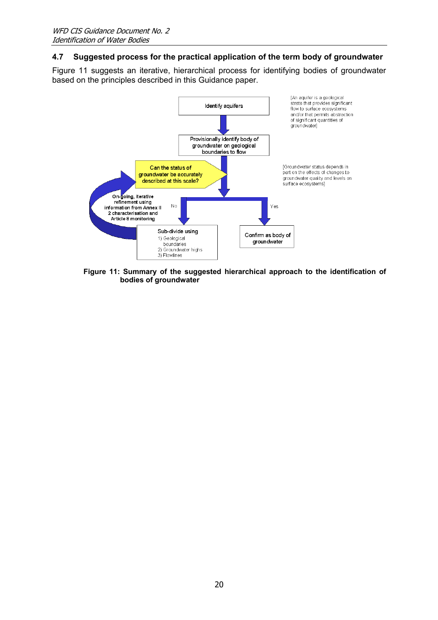#### <span id="page-23-0"></span>**4.7 Suggested process for the practical application of the term body of groundwater**

[Figure 11](#page-23-1) suggests an iterative, hierarchical process for identifying bodies of groundwater based on the principles described in this Guidance paper.

<span id="page-23-1"></span>

**Figure 11: Summary of the suggested hierarchical approach to the identification of bodies of groundwater**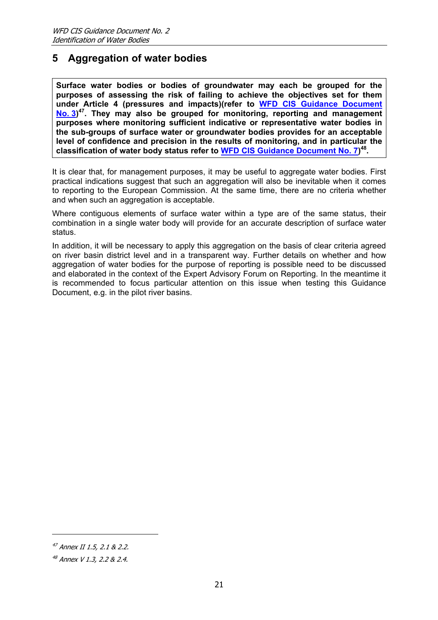# <span id="page-24-0"></span>**5 Aggregation of water bodies**

**Surface water bodies or bodies of groundwater may each be grouped for the purposes of assessing the risk of failing to achieve the objectives set for them under Article 4 (pressures and impacts)(refer to [WFD CIS Guidance Document](Guidance doc 3 IMPRESS.pdf)  [No. 3](Guidance doc 3 IMPRESS.pdf)) [47.](#page-24-1) They may also be grouped for monitoring, reporting and management purposes where monitoring sufficient indicative or representative water bodies in the sub-groups of surface water or groundwater bodies provides for an acceptable level of confidence and precision in the results of monitoring, and in particular the classification of water body status refer to [WFD CIS Guidance Document No. 7](Guidance doc 7 monitoring.pdf)) [48.](#page-24-2)** 

It is clear that, for management purposes, it may be useful to aggregate water bodies. First practical indications suggest that such an aggregation will also be inevitable when it comes to reporting to the European Commission. At the same time, there are no criteria whether and when such an aggregation is acceptable.

Where contiguous elements of surface water within a type are of the same status, their combination in a single water body will provide for an accurate description of surface water status.

In addition, it will be necessary to apply this aggregation on the basis of clear criteria agreed on river basin district level and in a transparent way. Further details on whether and how aggregation of water bodies for the purpose of reporting is possible need to be discussed and elaborated in the context of the Expert Advisory Forum on Reporting. In the meantime it is recommended to focus particular attention on this issue when testing this Guidance Document, e.g. in the pilot river basins.

<span id="page-24-1"></span><sup>47</sup> Annex II 1.5, 2.1 & 2.2.

<span id="page-24-2"></span><sup>48</sup> Annex V 1.3, 2.2 & 2.4.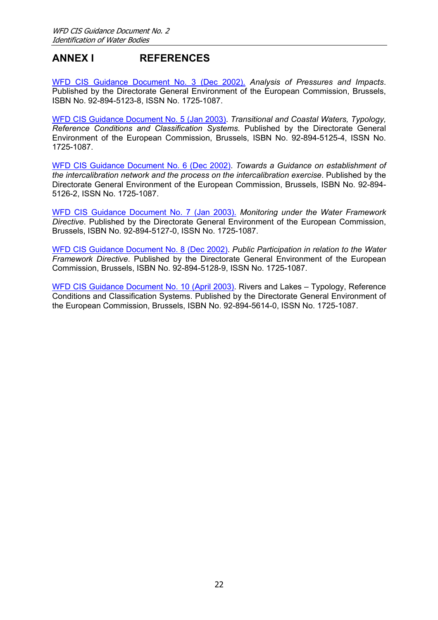# <span id="page-25-0"></span>**ANNEX I REFERENCES**

[WFD CIS Guidance Document No. 3 \(Dec 2002\).](Guidance doc 3 IMPRESS.pdf) *Analysis of Pressures and Impacts*. Published by the Directorate General Environment of the European Commission, Brussels, ISBN No. 92-894-5123-8, ISSN No. 1725-1087.

[WFD CIS Guidance Document No. 5 \(Jan 2003\)](Guidance doc 5 COAST.pdf). *Transitional and Coastal Waters, Typology, Reference Conditions and Classification Systems*. Published by the Directorate General Environment of the European Commission, Brussels, ISBN No. 92-894-5125-4, ISSN No. 1725-1087.

[WFD CIS Guidance Document No. 6 \(Dec 2002\)](Guidance doc 6 intercalibration.pdf). *Towards a Guidance on establishment of the intercalibration network and the process on the intercalibration exercise*. Published by the Directorate General Environment of the European Commission, Brussels, ISBN No. 92-894- 5126-2, ISSN No. 1725-1087.

[WFD CIS Guidance Document No. 7 \(Jan 2003\).](Guidance doc 7 monitoring.pdf) *Monitoring under the Water Framework Directive*. Published by the Directorate General Environment of the European Commission, Brussels, ISBN No. 92-894-5127-0, ISSN No. 1725-1087.

[WFD CIS Guidance Document No. 8 \(Dec 2002\)](Guidance doc 8 Public participation.pdf). *Public Participation in relation to the Water Framework Directive*. Published by the Directorate General Environment of the European Commission, Brussels, ISBN No. 92-894-5128-9, ISSN No. 1725-1087.

[WFD CIS Guidance Document No. 10 \(April 2003\)](Guidance doc 10 REFCOND.pdf). Rivers and Lakes – Typology, Reference Conditions and Classification Systems. Published by the Directorate General Environment of the European Commission, Brussels, ISBN No. 92-894-5614-0, ISSN No. 1725-1087.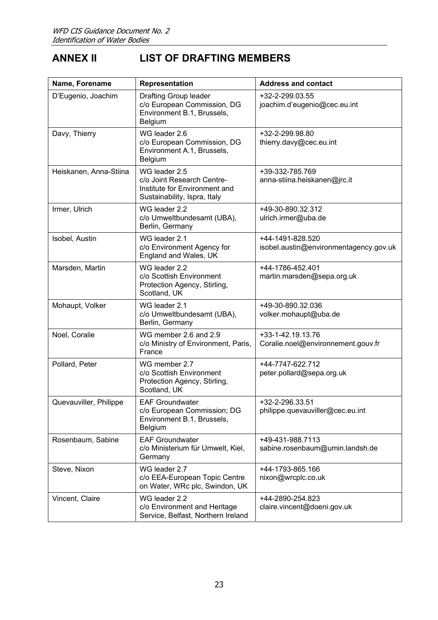# <span id="page-26-0"></span>**ANNEX II LIST OF DRAFTING MEMBERS**

| Name, Forename         | Representation                                                                                               | <b>Address and contact</b>                                 |
|------------------------|--------------------------------------------------------------------------------------------------------------|------------------------------------------------------------|
| D'Eugenio, Joachim     | <b>Drafting Group leader</b><br>c/o European Commission, DG<br>Environment B.1, Brussels,<br>Belgium         | +32-2-299.03.55<br>joachim.d'eugenio@cec.eu.int            |
| Davy, Thierry          | WG leader 2.6<br>c/o European Commission, DG<br>Environment A.1, Brussels,<br>Belgium                        | +32-2-299.98.80<br>thierry.davy@cec.eu.int                 |
| Heiskanen, Anna-Stiina | WG leader 2.5<br>c/o Joint Research Centre-<br>Institute for Environment and<br>Sustainability, Ispra, Italy | +39-332-785.769<br>anna-stiina.heiskanen@jrc.it            |
| Irmer, Ulrich          | WG leader 2.2<br>c/o Umweltbundesamt (UBA),<br>Berlin, Germany                                               | +49-30-890.32.312<br>ulrich.irmer@uba.de                   |
| Isobel, Austin         | WG leader 2.1<br>c/o Environment Agency for<br>England and Wales, UK                                         | +44-1491-828.520<br>isobel.austin@environmentagency.gov.uk |
| Marsden, Martin        | WG leader 2.2<br>c/o Scottish Environment<br>Protection Agency, Stirling,<br>Scotland, UK                    | +44-1786-452.401<br>martin.marsden@sepa.org.uk             |
| Mohaupt, Volker        | WG leader 2.1<br>c/o Umweltbundesamt (UBA),<br>Berlin, Germany                                               | +49-30-890.32.036<br>volker.mohaupt@uba.de                 |
| Noel, Coralie          | WG member 2.6 and 2.9<br>c/o Ministry of Environment, Paris,<br>France                                       | +33-1-42.19.13.76<br>Coralie.noel@environnement.gouv.fr    |
| Pollard, Peter         | WG member 2.7<br>c/o Scottish Environment<br>Protection Agency, Stirling,<br>Scotland, UK                    | +44-7747-622.712<br>peter.pollard@sepa.org.uk              |
| Quevauviller, Philippe | <b>EAF Groundwater</b><br>c/o European Commission; DG<br>Environment B.1, Brussels,<br>Belgium               | +32-2-296.33.51<br>philippe.quevauviller@cec.eu.int        |
| Rosenbaum, Sabine      | <b>EAF Groundwater</b><br>c/o Ministerium für Umwelt, Kiel,<br>Germany                                       | +49-431-988.7113<br>sabine.rosenbaum@umin.landsh.de        |
| Steve, Nixon           | WG leader 2.7<br>c/o EEA-European Topic Centre<br>on Water, WRc plc, Swindon, UK                             | +44-1793-865.166<br>nixon@wrcplc.co.uk                     |
| Vincent, Claire        | WG leader 2.2<br>c/o Environment and Heritage<br>Service, Belfast, Northern Ireland                          | +44-2890-254.823<br>claire.vincent@doeni.gov.uk            |